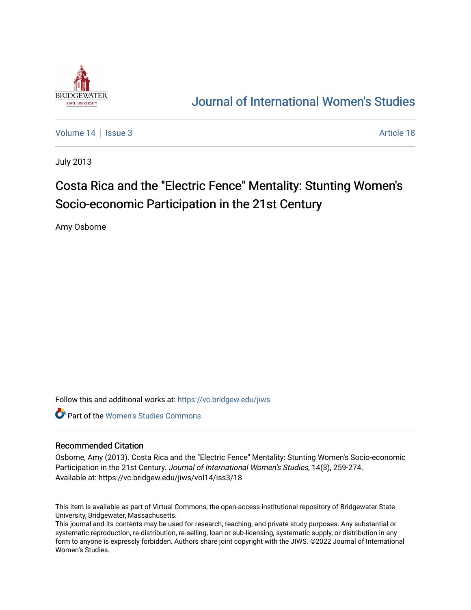

# [Journal of International Women's Studies](https://vc.bridgew.edu/jiws)

[Volume 14](https://vc.bridgew.edu/jiws/vol14) | [Issue 3](https://vc.bridgew.edu/jiws/vol14/iss3) Article 18

July 2013

# Costa Rica and the "Electric Fence" Mentality: Stunting Women's Socio-economic Participation in the 21st Century

Amy Osborne

Follow this and additional works at: [https://vc.bridgew.edu/jiws](https://vc.bridgew.edu/jiws?utm_source=vc.bridgew.edu%2Fjiws%2Fvol14%2Fiss3%2F18&utm_medium=PDF&utm_campaign=PDFCoverPages)

**C** Part of the Women's Studies Commons

#### Recommended Citation

Osborne, Amy (2013). Costa Rica and the "Electric Fence" Mentality: Stunting Women's Socio-economic Participation in the 21st Century. Journal of International Women's Studies, 14(3), 259-274. Available at: https://vc.bridgew.edu/jiws/vol14/iss3/18

This item is available as part of Virtual Commons, the open-access institutional repository of Bridgewater State University, Bridgewater, Massachusetts.

This journal and its contents may be used for research, teaching, and private study purposes. Any substantial or systematic reproduction, re-distribution, re-selling, loan or sub-licensing, systematic supply, or distribution in any form to anyone is expressly forbidden. Authors share joint copyright with the JIWS. ©2022 Journal of International Women's Studies.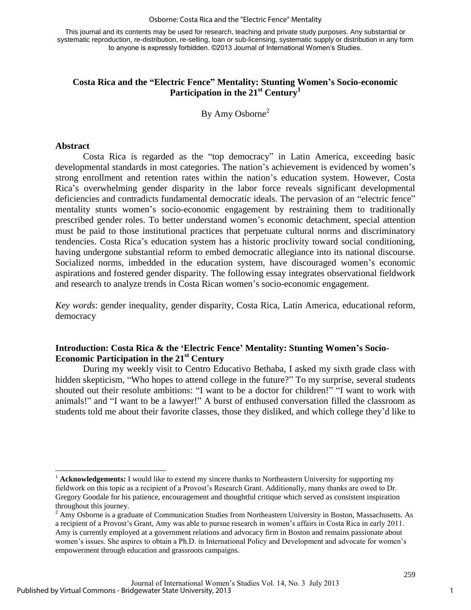This journal and its contents may be used for research, teaching and private study purposes. Any substantial or systematic reproduction, re-distribution, re-selling, loan or sub-licensing, systematic supply or distribution in any form to anyone is expressly forbidden. ©2013 Journal of International Women's Studies.

# **Costa Rica and the "Electric Fence" Mentality: Stunting Women's Socio-economic Participation in the 21st Century<sup>1</sup>**

By Amy Osborne<sup>2</sup>

# **Abstract**

Costa Rica is regarded as the "top democracy" in Latin America, exceeding basic developmental standards in most categories. The nation's achievement is evidenced by women's strong enrollment and retention rates within the nation's education system. However, Costa Rica's overwhelming gender disparity in the labor force reveals significant developmental deficiencies and contradicts fundamental democratic ideals. The pervasion of an "electric fence" mentality stunts women's socio-economic engagement by restraining them to traditionally prescribed gender roles. To better understand women's economic detachment, special attention must be paid to those institutional practices that perpetuate cultural norms and discriminatory tendencies. Costa Rica's education system has a historic proclivity toward social conditioning, having undergone substantial reform to embed democratic allegiance into its national discourse. Socialized norms, imbedded in the education system, have discouraged women's economic aspirations and fostered gender disparity. The following essay integrates observational fieldwork and research to analyze trends in Costa Rican women's socio-economic engagement*.*

*Key words*: gender inequality, gender disparity, Costa Rica, Latin America, educational reform, democracy

# **Introduction: Costa Rica & the 'Electric Fence' Mentality: Stunting Women's Socio-Economic Participation in the 21st Century**

During my weekly visit to Centro Educativo Bethaba, I asked my sixth grade class with hidden skepticism, "Who hopes to attend college in the future?" To my surprise, several students shouted out their resolute ambitions: "I want to be a doctor for children!" "I want to work with animals!" and "I want to be a lawyer!" A burst of enthused conversation filled the classroom as students told me about their favorite classes, those they disliked, and which college they'd like to

 $\overline{a}$ <sup>1</sup> **Acknowledgements:** I would like to extend my sincere thanks to Northeastern University for supporting my fieldwork on this topic as a recipient of a Provost's Research Grant. Additionally, many thanks are owed to Dr. Gregory Goodale for his patience, encouragement and thoughtful critique which served as consistent inspiration throughout this journey.

 $2$  Amy Osborne is a graduate of Communication Studies from Northeastern University in Boston, Massachusetts. As a recipient of a Provost's Grant, Amy was able to pursue research in women's affairs in Costa Rica in early 2011. Amy is currently employed at a government relations and advocacy firm in Boston and remains passionate about women's issues. She aspires to obtain a Ph.D. in International Policy and Development and advocate for women's empowerment through education and grassroots campaigns.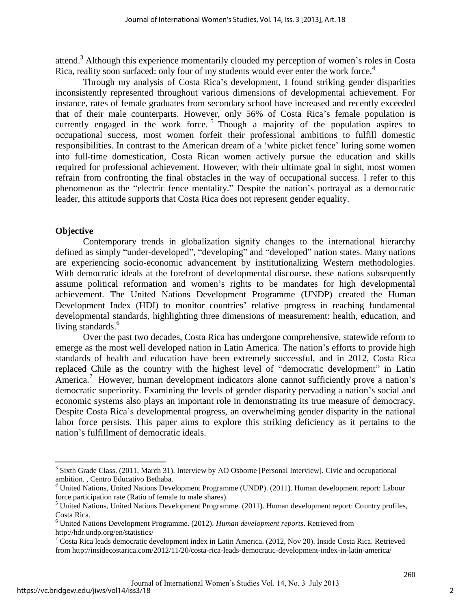attend.<sup>3</sup> Although this experience momentarily clouded my perception of women's roles in Costa Rica, reality soon surfaced: only four of my students would ever enter the work force.<sup>4</sup>

Through my analysis of Costa Rica's development, I found striking gender disparities inconsistently represented throughout various dimensions of developmental achievement. For instance, rates of female graduates from secondary school have increased and recently exceeded that of their male counterparts. However, only 56% of Costa Rica's female population is currently engaged in the work force.<sup>5</sup> Though a majority of the population aspires to occupational success, most women forfeit their professional ambitions to fulfill domestic responsibilities. In contrast to the American dream of a 'white picket fence' luring some women into full-time domestication, Costa Rican women actively pursue the education and skills required for professional achievement. However, with their ultimate goal in sight, most women refrain from confronting the final obstacles in the way of occupational success. I refer to this phenomenon as the "electric fence mentality." Despite the nation's portrayal as a democratic leader, this attitude supports that Costa Rica does not represent gender equality.

# **Objective**

 $\overline{a}$ 

Contemporary trends in globalization signify changes to the international hierarchy defined as simply "under-developed", "developing" and "developed" nation states. Many nations are experiencing socio-economic advancement by institutionalizing Western methodologies. With democratic ideals at the forefront of developmental discourse, these nations subsequently assume political reformation and women's rights to be mandates for high developmental achievement. The United Nations Development Programme (UNDP) created the Human Development Index (HDI) to monitor countries' relative progress in reaching fundamental developmental standards, highlighting three dimensions of measurement: health, education, and living standards.<sup>6</sup>

Over the past two decades, Costa Rica has undergone comprehensive, statewide reform to emerge as the most well developed nation in Latin America. The nation's efforts to provide high standards of health and education have been extremely successful, and in 2012, Costa Rica replaced Chile as the country with the highest level of "democratic development" in Latin America.<sup>7</sup> However, human development indicators alone cannot sufficiently prove a nation's democratic superiority. Examining the levels of gender disparity pervading a nation's social and economic systems also plays an important role in demonstrating its true measure of democracy. Despite Costa Rica's developmental progress, an overwhelming gender disparity in the national labor force persists. This paper aims to explore this striking deficiency as it pertains to the nation's fulfillment of democratic ideals.

<sup>&</sup>lt;sup>3</sup> Sixth Grade Class. (2011, March 31). Interview by AO Osborne [Personal Interview]. Civic and occupational ambition. , Centro Educativo Bethaba.

*<sup>4</sup>* United Nations, United Nations Development Programme (UNDP). (2011). Human development report: Labour force participation rate (Ratio of female to male shares).

<sup>&</sup>lt;sup>5</sup> United Nations, United Nations Development Programme. (2011). Human development report: Country profiles, Costa Rica.

<sup>6</sup> United Nations Development Programme. (2012). *Human development reports*. Retrieved from http://hdr.undp.org/en/statistics/

<sup>&</sup>lt;sup>7</sup> Costa Rica leads democratic development index in Latin America. (2012, Nov 20). Inside Costa Rica. Retrieved from http://insidecostarica.com/2012/11/20/costa-rica-leads-democratic-development-index-in-latin-america/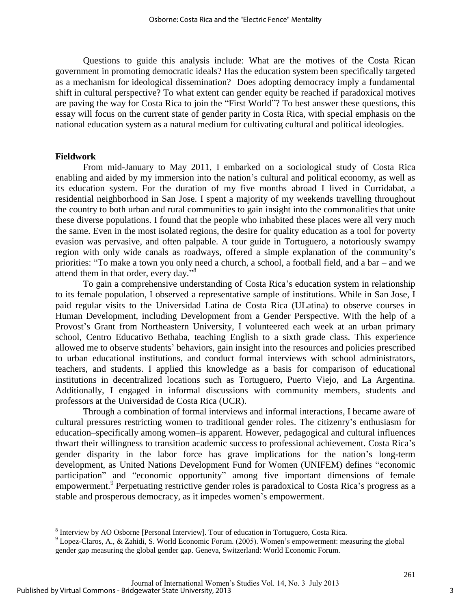Questions to guide this analysis include: What are the motives of the Costa Rican government in promoting democratic ideals? Has the education system been specifically targeted as a mechanism for ideological dissemination? Does adopting democracy imply a fundamental shift in cultural perspective? To what extent can gender equity be reached if paradoxical motives are paving the way for Costa Rica to join the "First World"? To best answer these questions, this essay will focus on the current state of gender parity in Costa Rica, with special emphasis on the national education system as a natural medium for cultivating cultural and political ideologies.

#### **Fieldwork**

 $\overline{\phantom{a}}$ 

From mid-January to May 2011, I embarked on a sociological study of Costa Rica enabling and aided by my immersion into the nation's cultural and political economy, as well as its education system. For the duration of my five months abroad I lived in Curridabat, a residential neighborhood in San Jose. I spent a majority of my weekends travelling throughout the country to both urban and rural communities to gain insight into the commonalities that unite these diverse populations. I found that the people who inhabited these places were all very much the same. Even in the most isolated regions, the desire for quality education as a tool for poverty evasion was pervasive, and often palpable. A tour guide in Tortuguero, a notoriously swampy region with only wide canals as roadways, offered a simple explanation of the community's priorities: "To make a town you only need a church, a school, a football field, and a bar – and we attend them in that order, every day."<sup>8</sup>

To gain a comprehensive understanding of Costa Rica's education system in relationship to its female population, I observed a representative sample of institutions. While in San Jose, I paid regular visits to the Universidad Latina de Costa Rica (ULatina) to observe courses in Human Development, including Development from a Gender Perspective. With the help of a Provost's Grant from Northeastern University, I volunteered each week at an urban primary school, Centro Educativo Bethaba, teaching English to a sixth grade class. This experience allowed me to observe students' behaviors, gain insight into the resources and policies prescribed to urban educational institutions, and conduct formal interviews with school administrators, teachers, and students. I applied this knowledge as a basis for comparison of educational institutions in decentralized locations such as Tortuguero, Puerto Viejo, and La Argentina. Additionally, I engaged in informal discussions with community members, students and professors at the Universidad de Costa Rica (UCR).

Through a combination of formal interviews and informal interactions, I became aware of cultural pressures restricting women to traditional gender roles. The citizenry's enthusiasm for education–specifically among women–is apparent. However, pedagogical and cultural influences thwart their willingness to transition academic success to professional achievement. Costa Rica's gender disparity in the labor force has grave implications for the nation's long-term development, as United Nations Development Fund for Women (UNIFEM) defines "economic participation" and "economic opportunity" among five important dimensions of female empowerment.<sup>9</sup> Perpetuating restrictive gender roles is paradoxical to Costa Rica's progress as a stable and prosperous democracy, as it impedes women's empowerment.

<sup>&</sup>lt;sup>8</sup> Interview by AO Osborne [Personal Interview]. Tour of education in Tortuguero, Costa Rica.

<sup>&</sup>lt;sup>9</sup> Lopez-Claros, A., & Zahidi, S. World Economic Forum. (2005). Women's empowerment: measuring the global gender gap measuring the global gender gap. Geneva, Switzerland: World Economic Forum.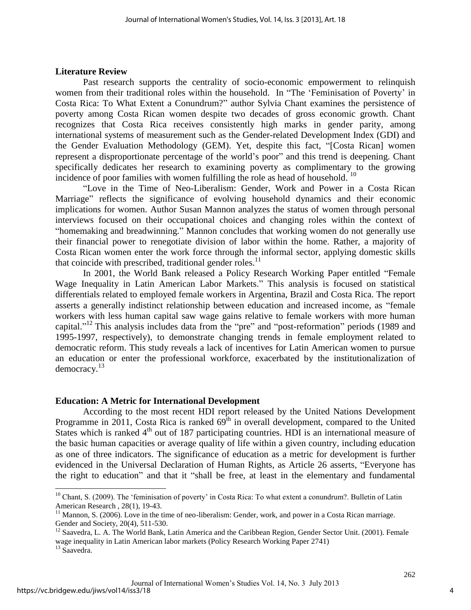#### **Literature Review**

Past research supports the centrality of socio-economic empowerment to relinquish women from their traditional roles within the household. In "The 'Feminisation of Poverty' in Costa Rica: To What Extent a Conundrum?" author Sylvia Chant examines the persistence of poverty among Costa Rican women despite two decades of gross economic growth. Chant recognizes that Costa Rica receives consistently high marks in gender parity, among international systems of measurement such as the Gender-related Development Index (GDI) and the Gender Evaluation Methodology (GEM). Yet, despite this fact, "[Costa Rican] women represent a disproportionate percentage of the world's poor" and this trend is deepening. Chant specifically dedicates her research to examining poverty as complimentary to the growing incidence of poor families with women fulfilling the role as head of household.  $10$ 

"Love in the Time of Neo-Liberalism: Gender, Work and Power in a Costa Rican Marriage" reflects the significance of evolving household dynamics and their economic implications for women. Author Susan Mannon analyzes the status of women through personal interviews focused on their occupational choices and changing roles within the context of "homemaking and breadwinning." Mannon concludes that working women do not generally use their financial power to renegotiate division of labor within the home. Rather, a majority of Costa Rican women enter the work force through the informal sector, applying domestic skills that coincide with prescribed, traditional gender roles. $^{11}$ 

In 2001, the World Bank released a Policy Research Working Paper entitled "Female Wage Inequality in Latin American Labor Markets." This analysis is focused on statistical differentials related to employed female workers in Argentina, Brazil and Costa Rica. The report asserts a generally indistinct relationship between education and increased income, as "female workers with less human capital saw wage gains relative to female workers with more human capital."<sup>12</sup> This analysis includes data from the "pre" and "post-reformation" periods (1989 and 1995-1997, respectively), to demonstrate changing trends in female employment related to democratic reform. This study reveals a lack of incentives for Latin American women to pursue an education or enter the professional workforce, exacerbated by the institutionalization of democracy.<sup>13</sup>

#### **Education: A Metric for International Development**

According to the most recent HDI report released by the United Nations Development Programme in 2011, Costa Rica is ranked  $69<sup>th</sup>$  in overall development, compared to the United States which is ranked  $4<sup>th</sup>$  out of 187 participating countries. HDI is an international measure of the basic human capacities or average quality of life within a given country, including education as one of three indicators. The significance of education as a metric for development is further evidenced in the Universal Declaration of Human Rights, as Article 26 asserts, "Everyone has the right to education" and that it "shall be free, at least in the elementary and fundamental

 $10$  Chant, S. (2009). The 'feminisation of poverty' in Costa Rica: To what extent a conundrum?. Bulletin of Latin American Research , 28(1), 19-43.

<sup>&</sup>lt;sup>11</sup> Mannon, S. (2006). Love in the time of neo-liberalism: Gender, work, and power in a Costa Rican marriage. Gender and Society, 20(4), 511-530.

<sup>&</sup>lt;sup>12</sup> Saavedra, L. A. The World Bank, Latin America and the Caribbean Region, Gender Sector Unit. (2001). Female wage inequality in Latin American labor markets (Policy Research Working Paper 2741)

<sup>&</sup>lt;sup>13</sup> Saavedra.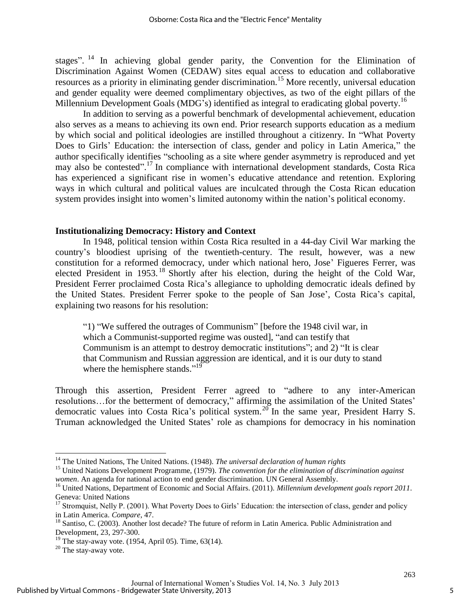stages".<sup>14</sup> In achieving global gender parity, the Convention for the Elimination of Discrimination Against Women (CEDAW) sites equal access to education and collaborative resources as a priority in eliminating gender discrimination.<sup>15</sup> More recently, universal education and gender equality were deemed complimentary objectives, as two of the eight pillars of the Millennium Development Goals (MDG's) identified as integral to eradicating global poverty.<sup>16</sup>

In addition to serving as a powerful benchmark of developmental achievement, education also serves as a means to achieving its own end. Prior research supports education as a medium by which social and political ideologies are instilled throughout a citizenry. In "What Poverty Does to Girls' Education: the intersection of class, gender and policy in Latin America," the author specifically identifies "schooling as a site where gender asymmetry is reproduced and yet may also be contested". <sup>17</sup> In compliance with international development standards, Costa Rica has experienced a significant rise in women's educative attendance and retention. Exploring ways in which cultural and political values are inculcated through the Costa Rican education system provides insight into women's limited autonomy within the nation's political economy.

#### **Institutionalizing Democracy: History and Context**

In 1948, political tension within Costa Rica resulted in a 44-day Civil War marking the country's bloodiest uprising of the twentieth-century. The result, however, was a new constitution for a reformed democracy, under which national hero, Jose' Figueres Ferrer, was elected President in 1953.<sup>18</sup> Shortly after his election, during the height of the Cold War, President Ferrer proclaimed Costa Rica's allegiance to upholding democratic ideals defined by the United States. President Ferrer spoke to the people of San Jose', Costa Rica's capital, explaining two reasons for his resolution:

"1) "We suffered the outrages of Communism" [before the 1948 civil war, in which a Communist-supported regime was ousted], "and can testify that Communism is an attempt to destroy democratic institutions"; and 2) "It is clear that Communism and Russian aggression are identical, and it is our duty to stand where the hemisphere stands."<sup>19</sup>

Through this assertion, President Ferrer agreed to "adhere to any inter-American resolutions…for the betterment of democracy," affirming the assimilation of the United States' democratic values into Costa Rica's political system.<sup>20</sup> In the same year, President Harry S. Truman acknowledged the United States' role as champions for democracy in his nomination

<sup>14</sup> The United Nations, The United Nations. (1948). *The universal declaration of human rights*

<sup>&</sup>lt;sup>15</sup> United Nations Development Programme, (1979). *The convention for the elimination of discrimination against women*. An agenda for national action to end gender discrimination. UN General Assembly.

<sup>16</sup> United Nations, Department of Economic and Social Affairs. (2011). *Millennium development goals report 2011*. Geneva: United Nations

<sup>&</sup>lt;sup>17</sup> Stromquist, Nelly P. (2001). What Poverty Does to Girls' Education: the intersection of class, gender and policy in Latin America. *Compare*, 47.

<sup>&</sup>lt;sup>18</sup> Santiso, C. (2003). Another lost decade? The future of reform in Latin America. Public Administration and Development, 23, 297-300.

 $19$  The stay-away vote. (1954, April 05). Time, 63(14).

<sup>&</sup>lt;sup>20</sup> The stay-away vote.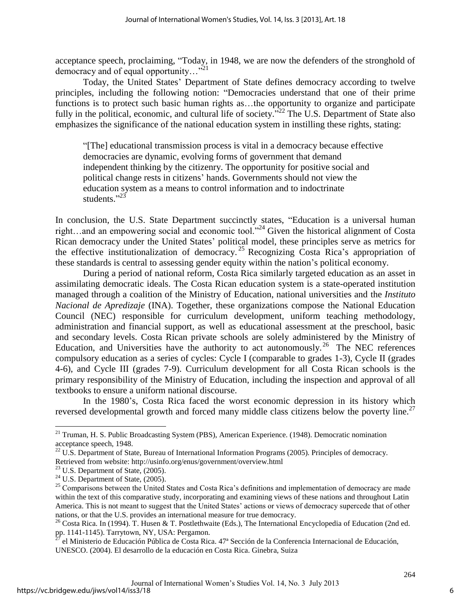acceptance speech, proclaiming, "Today, in 1948, we are now the defenders of the stronghold of democracy and of equal opportunity…"<sup>21</sup>

Today, the United States' Department of State defines democracy according to twelve principles, including the following notion: "Democracies understand that one of their prime functions is to protect such basic human rights as…the opportunity to organize and participate fully in the political, economic, and cultural life of society.<sup>32</sup> The U.S. Department of State also emphasizes the significance of the national education system in instilling these rights, stating:

"[The] educational transmission process is vital in a democracy because effective democracies are dynamic, evolving forms of government that demand independent thinking by the citizenry. The opportunity for positive social and political change rests in citizens' hands. Governments should not view the education system as a means to control information and to indoctrinate students."<sup>23</sup>

In conclusion, the U.S. State Department succinctly states, "Education is a universal human right…and an empowering social and economic tool."<sup>24</sup> Given the historical alignment of Costa Rican democracy under the United States' political model, these principles serve as metrics for the effective institutionalization of democracy. <sup>25</sup> Recognizing Costa Rica's appropriation of these standards is central to assessing gender equity within the nation's political economy.

During a period of national reform, Costa Rica similarly targeted education as an asset in assimilating democratic ideals. The Costa Rican education system is a state-operated institution managed through a coalition of the Ministry of Education, national universities and the *Instituto Nacional de Apredizaje* (INA). Together, these organizations compose the National Education Council (NEC) responsible for curriculum development, uniform teaching methodology, administration and financial support, as well as educational assessment at the preschool, basic and secondary levels. Costa Rican private schools are solely administered by the Ministry of Education, and Universities have the authority to act autonomously.<sup>26</sup> The NEC references compulsory education as a series of cycles: Cycle I (comparable to grades 1-3), Cycle II (grades 4-6), and Cycle III (grades 7-9). Curriculum development for all Costa Rican schools is the primary responsibility of the Ministry of Education, including the inspection and approval of all textbooks to ensure a uniform national discourse.

In the 1980's, Costa Rica faced the worst economic depression in its history which reversed developmental growth and forced many middle class citizens below the poverty line.<sup>27</sup>

<sup>&</sup>lt;sup>21</sup> Truman, H. S. Public Broadcasting System (PBS), American Experience. (1948). Democratic nomination acceptance speech, 1948.

 $^{22}$  U.S. Department of State, Bureau of International Information Programs (2005). Principles of democracy. Retrieved from website: http://usinfo.org/enus/government/overview.html

<sup>23</sup> U.S. Department of State, (2005).

 $24$  U.S. Department of State, (2005).

<sup>&</sup>lt;sup>25</sup> Comparisons between the United States and Costa Rica's definitions and implementation of democracy are made within the text of this comparative study, incorporating and examining views of these nations and throughout Latin America. This is not meant to suggest that the United States' actions or views of democracy supercede that of other nations, or that the U.S. provides an international measure for true democracy.

<sup>&</sup>lt;sup>26</sup> Costa Rica. In (1994). T. Husen & T. Postlethwaite (Eds.), The International Encyclopedia of Education (2nd ed. pp. 1141-1145). Tarrytown, NY, USA: Pergamon.

<sup>27</sup> el Ministerio de Educación Pública de Costa Rica. 47ª Sección de la Conferencia Internacional de Educación, UNESCO. (2004). El desarrollo de la educación en Costa Rica. Ginebra, Suiza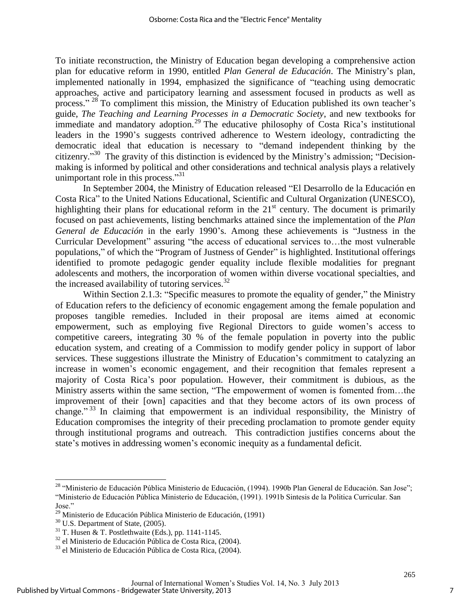To initiate reconstruction, the Ministry of Education began developing a comprehensive action plan for educative reform in 1990, entitled *Plan General de Educación*. The Ministry's plan, implemented nationally in 1994, emphasized the significance of "teaching using democratic approaches, active and participatory learning and assessment focused in products as well as process." <sup>28</sup> To compliment this mission, the Ministry of Education published its own teacher's guide, *The Teaching and Learning Processes in a Democratic Society*, and new textbooks for immediate and mandatory adoption.<sup>29</sup> The educative philosophy of Costa Rica's institutional leaders in the 1990's suggests contrived adherence to Western ideology, contradicting the democratic ideal that education is necessary to "demand independent thinking by the citizenry."<sup>30</sup> The gravity of this distinction is evidenced by the Ministry's admission; "Decisionmaking is informed by political and other considerations and technical analysis plays a relatively unimportant role in this process."<sup>31</sup>

In September 2004, the Ministry of Education released "El Desarrollo de la Educación en Costa Rica" to the United Nations Educational, Scientific and Cultural Organization (UNESCO), highlighting their plans for educational reform in the  $21<sup>st</sup>$  century. The document is primarily focused on past achievements, listing benchmarks attained since the implementation of the *Plan General de Educación* in the early 1990's. Among these achievements is "Justness in the Curricular Development" assuring "the access of educational services to…the most vulnerable populations," of which the "Program of Justness of Gender" is highlighted. Institutional offerings identified to promote pedagogic gender equality include flexible modalities for pregnant adolescents and mothers, the incorporation of women within diverse vocational specialties, and the increased availability of tutoring services. $32$ 

Within Section 2.1.3: "Specific measures to promote the equality of gender," the Ministry of Education refers to the deficiency of economic engagement among the female population and proposes tangible remedies. Included in their proposal are items aimed at economic empowerment, such as employing five Regional Directors to guide women's access to competitive careers, integrating 30 % of the female population in poverty into the public education system, and creating of a Commission to modify gender policy in support of labor services. These suggestions illustrate the Ministry of Education's commitment to catalyzing an increase in women's economic engagement, and their recognition that females represent a majority of Costa Rica's poor population. However, their commitment is dubious, as the Ministry asserts within the same section, "The empowerment of women is fomented from…the improvement of their [own] capacities and that they become actors of its own process of change." <sup>33</sup> In claiming that empowerment is an individual responsibility, the Ministry of Education compromises the integrity of their preceding proclamation to promote gender equity through institutional programs and outreach. This contradiction justifies concerns about the state's motives in addressing women's economic inequity as a fundamental deficit.

<sup>&</sup>lt;sup>28</sup> "Ministerio de Educación Pública Ministerio de Educación, (1994). 1990b Plan General de Educación. San Jose"; "Ministerio de Educación Pública Ministerio de Educación, (1991). 1991b Sintesis de la Politica Curricular. San Jose."

<sup>29</sup> Ministerio de Educación Pública Ministerio de Educación, (1991)

<sup>30</sup> U.S. Department of State, (2005).

 $31$  T. Husen & T. Postlethwaite (Eds.), pp. 1141-1145.

<sup>32</sup> el Ministerio de Educación Pública de Costa Rica, (2004).

<sup>33</sup> el Ministerio de Educación Pública de Costa Rica, (2004).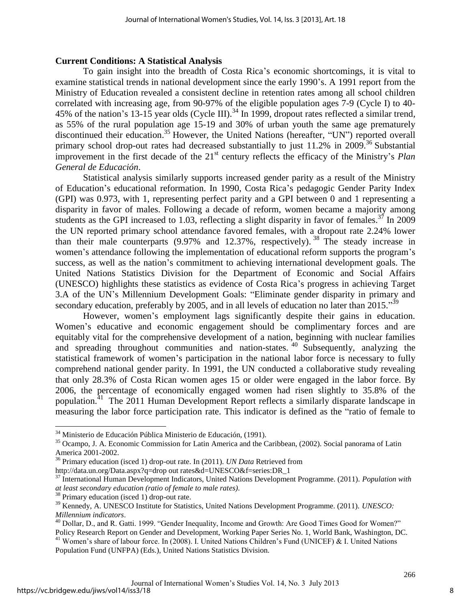## **Current Conditions: A Statistical Analysis**

To gain insight into the breadth of Costa Rica's economic shortcomings, it is vital to examine statistical trends in national development since the early 1990's. A 1991 report from the Ministry of Education revealed a consistent decline in retention rates among all school children correlated with increasing age, from 90-97% of the eligible population ages 7-9 (Cycle I) to 40- 45% of the nation's 13-15 year olds (Cycle III).<sup>34</sup> In 1999, dropout rates reflected a similar trend, as 55% of the rural population age 15-19 and 30% of urban youth the same age prematurely discontinued their education.<sup>35</sup> However, the United Nations (hereafter, "UN") reported overall primary school drop-out rates had decreased substantially to just  $11.2\%$  in 2009.<sup>36</sup> Substantial improvement in the first decade of the 21<sup>st</sup> century reflects the efficacy of the Ministry's *Plan General de Educación*.

Statistical analysis similarly supports increased gender parity as a result of the Ministry of Education's educational reformation. In 1990, Costa Rica's pedagogic Gender Parity Index (GPI) was 0.973, with 1, representing perfect parity and a GPI between 0 and 1 representing a disparity in favor of males. Following a decade of reform, women became a majority among students as the GPI increased to 1.03, reflecting a slight disparity in favor of females.<sup>37</sup> In 2009 the UN reported primary school attendance favored females, with a dropout rate 2.24% lower than their male counterparts  $(9.97\%$  and  $12.37\%$ , respectively). <sup>38</sup> The steady increase in women's attendance following the implementation of educational reform supports the program's success, as well as the nation's commitment to achieving international development goals. The United Nations Statistics Division for the Department of Economic and Social Affairs (UNESCO) highlights these statistics as evidence of Costa Rica's progress in achieving Target 3.A of the UN's Millennium Development Goals: "Eliminate gender disparity in primary and secondary education, preferably by 2005, and in all levels of education no later than  $2015.^{359}$ 

However, women's employment lags significantly despite their gains in education. Women's educative and economic engagement should be complimentary forces and are equitably vital for the comprehensive development of a nation, beginning with nuclear families and spreading throughout communities and nation-states. <sup>40</sup> Subsequently, analyzing the statistical framework of women's participation in the national labor force is necessary to fully comprehend national gender parity. In 1991, the UN conducted a collaborative study revealing that only 28.3% of Costa Rican women ages 15 or older were engaged in the labor force. By 2006, the percentage of economically engaged women had risen slightly to 35.8% of the population.<sup>41</sup> The 2011 Human Development Report reflects a similarly disparate landscape in measuring the labor force participation rate. This indicator is defined as the "ratio of female to

<sup>&</sup>lt;sup>34</sup> Ministerio de Educación Pública Ministerio de Educación, (1991).

<sup>&</sup>lt;sup>35</sup> Ocampo, J. A. Economic Commission for Latin America and the Caribbean, (2002). Social panorama of Latin America 2001-2002.

<sup>36</sup> Primary education (isced 1) drop-out rate. In (2011). *UN Data* Retrieved from

http://data.un.org/Data.aspx?q=drop out rates&d=UNESCO&f=series:DR\_1

<sup>37</sup> International Human Development Indicators, United Nations Development Programme. (2011). *Population with at least secondary education (ratio of female to male rates)*.

<sup>38</sup> Primary education (isced 1) drop-out rate.

<sup>39</sup> Kennedy, A. UNESCO Institute for Statistics, United Nations Development Programme. (2011). *UNESCO: Millennium indicators*.

<sup>&</sup>lt;sup>40</sup> Dollar, D., and R. Gatti. 1999. "Gender Inequality, Income and Growth: Are Good Times Good for Women?" Policy Research Report on Gender and Development, Working Paper Series No. 1, World Bank, Washington, DC.

<sup>&</sup>lt;sup>41</sup> Women's share of labour force. In (2008). I. United Nations Children's Fund (UNICEF) & I. United Nations Population Fund (UNFPA) (Eds.), United Nations Statistics Division.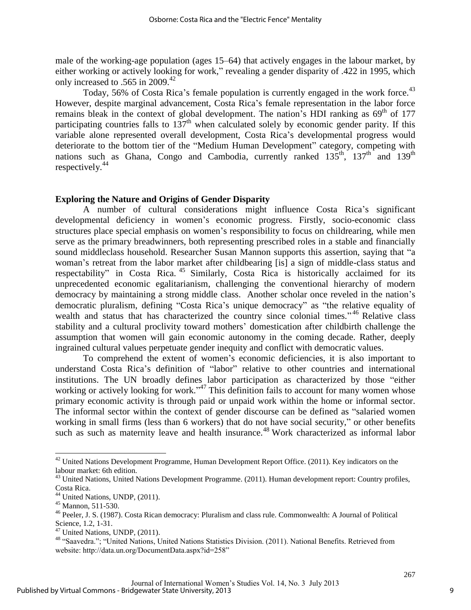male of the working-age population (ages 15–64) that actively engages in the labour market, by either working or actively looking for work," revealing a gender disparity of .422 in 1995, which only increased to .565 in 2009.<sup>42</sup>

Today, 56% of Costa Rica's female population is currently engaged in the work force.<sup>43</sup> However, despite marginal advancement, Costa Rica's female representation in the labor force remains bleak in the context of global development. The nation's HDI ranking as  $69<sup>th</sup>$  of 177 participating countries falls to  $137<sup>th</sup>$  when calculated solely by economic gender parity. If this variable alone represented overall development, Costa Rica's developmental progress would deteriorate to the bottom tier of the "Medium Human Development" category, competing with nations such as Ghana, Congo and Cambodia, currently ranked  $135<sup>th</sup>$ ,  $137<sup>th</sup>$  and  $139<sup>th</sup>$ respectively.<sup>44</sup>

## **Exploring the Nature and Origins of Gender Disparity**

A number of cultural considerations might influence Costa Rica's significant developmental deficiency in women's economic progress. Firstly, socio-economic class structures place special emphasis on women's responsibility to focus on childrearing, while men serve as the primary breadwinners, both representing prescribed roles in a stable and financially sound middleclass household. Researcher Susan Mannon supports this assertion, saying that "a woman's retreat from the labor market after childbearing [is] a sign of middle-class status and respectability" in Costa Rica. <sup>45</sup> Similarly, Costa Rica is historically acclaimed for its unprecedented economic egalitarianism, challenging the conventional hierarchy of modern democracy by maintaining a strong middle class. Another scholar once reveled in the nation's democratic pluralism, defining "Costa Rica's unique democracy" as "the relative equality of wealth and status that has characterized the country since colonial times."<sup>46</sup> Relative class stability and a cultural proclivity toward mothers' domestication after childbirth challenge the assumption that women will gain economic autonomy in the coming decade. Rather, deeply ingrained cultural values perpetuate gender inequity and conflict with democratic values.

To comprehend the extent of women's economic deficiencies, it is also important to understand Costa Rica's definition of "labor" relative to other countries and international institutions. The UN broadly defines labor participation as characterized by those "either working or actively looking for work."<sup>47</sup> This definition fails to account for many women whose primary economic activity is through paid or unpaid work within the home or informal sector. The informal sector within the context of gender discourse can be defined as "salaried women working in small firms (less than 6 workers) that do not have social security," or other benefits such as such as maternity leave and health insurance.<sup>48</sup> Work characterized as informal labor

 $42$  United Nations Development Programme, Human Development Report Office. (2011). Key indicators on the labour market: 6th edition.

<sup>&</sup>lt;sup>43</sup> United Nations, United Nations Development Programme. (2011). Human development report: Country profiles, Costa Rica.

<sup>&</sup>lt;sup>44</sup> United Nations, UNDP, (2011).

<sup>45</sup> Mannon, 511-530.

<sup>46</sup> Peeler, J. S. (1987). Costa Rican democracy: Pluralism and class rule. Commonwealth: A Journal of Political Science, 1.2, 1-31.

<sup>&</sup>lt;sup>47</sup> United Nations, UNDP, (2011).

<sup>48</sup> "Saavedra."; "United Nations, United Nations Statistics Division. (2011). National Benefits. Retrieved from website: http://data.un.org/DocumentData.aspx?id=258"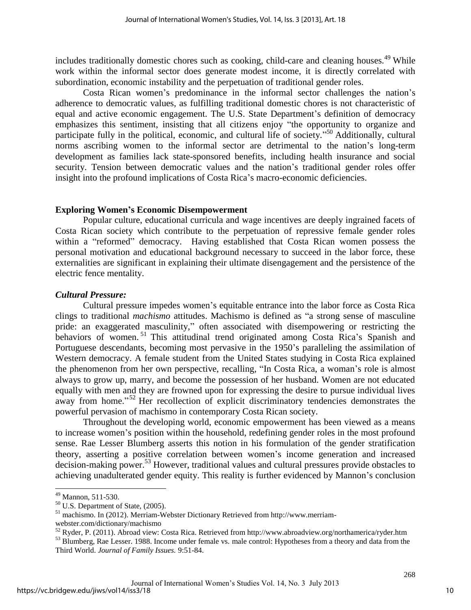includes traditionally domestic chores such as cooking, child-care and cleaning houses.<sup>49</sup> While work within the informal sector does generate modest income, it is directly correlated with subordination, economic instability and the perpetuation of traditional gender roles.

Costa Rican women's predominance in the informal sector challenges the nation's adherence to democratic values, as fulfilling traditional domestic chores is not characteristic of equal and active economic engagement. The U.S. State Department's definition of democracy emphasizes this sentiment, insisting that all citizens enjoy "the opportunity to organize and participate fully in the political, economic, and cultural life of society."<sup>50</sup> Additionally, cultural norms ascribing women to the informal sector are detrimental to the nation's long-term development as families lack state-sponsored benefits, including health insurance and social security. Tension between democratic values and the nation's traditional gender roles offer insight into the profound implications of Costa Rica's macro-economic deficiencies.

# **Exploring Women's Economic Disempowerment**

Popular culture, educational curricula and wage incentives are deeply ingrained facets of Costa Rican society which contribute to the perpetuation of repressive female gender roles within a "reformed" democracy. Having established that Costa Rican women possess the personal motivation and educational background necessary to succeed in the labor force, these externalities are significant in explaining their ultimate disengagement and the persistence of the electric fence mentality.

# *Cultural Pressure:*

Cultural pressure impedes women's equitable entrance into the labor force as Costa Rica clings to traditional *machismo* attitudes. Machismo is defined as "a strong sense of masculine pride: an exaggerated masculinity," often associated with disempowering or restricting the behaviors of women.<sup>51</sup> This attitudinal trend originated among Costa Rica's Spanish and Portuguese descendants, becoming most pervasive in the 1950's paralleling the assimilation of Western democracy. A female student from the United States studying in Costa Rica explained the phenomenon from her own perspective, recalling, "In Costa Rica, a woman's role is almost always to grow up, marry, and become the possession of her husband. Women are not educated equally with men and they are frowned upon for expressing the desire to pursue individual lives away from home."<sup>52</sup> Her recollection of explicit discriminatory tendencies demonstrates the powerful pervasion of machismo in contemporary Costa Rican society.

Throughout the developing world, economic empowerment has been viewed as a means to increase women's position within the household, redefining gender roles in the most profound sense. Rae Lesser Blumberg asserts this notion in his formulation of the gender stratification theory, asserting a positive correlation between women's income generation and increased decision-making power.<sup>53</sup> However, traditional values and cultural pressures provide obstacles to achieving unadulterated gender equity. This reality is further evidenced by Mannon's conclusion

 $49$  Mannon, 511-530.

 $50$  U.S. Department of State, (2005).

<sup>51</sup> machismo. In (2012). Merriam-Webster Dictionary Retrieved from http://www.merriam-

webster.com/dictionary/machismo

 $52$  Ryder, P. (2011). Abroad view: Costa Rica. Retrieved from http://www.abroadview.org/northamerica/ryder.htm

<sup>&</sup>lt;sup>53</sup> Blumberg, Rae Lesser. 1988. Income under female vs. male control: Hypotheses from a theory and data from the Third World. *Journal of Family Issues.* 9:51-84.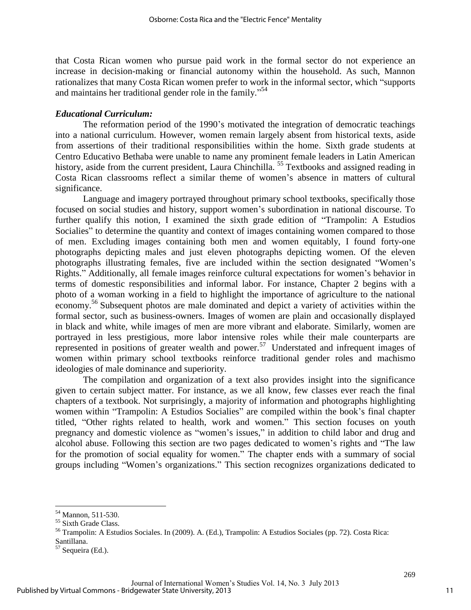that Costa Rican women who pursue paid work in the formal sector do not experience an increase in decision-making or financial autonomy within the household. As such, Mannon rationalizes that many Costa Rican women prefer to work in the informal sector, which "supports and maintains her traditional gender role in the family." 54

#### *Educational Curriculum:*

The reformation period of the 1990's motivated the integration of democratic teachings into a national curriculum. However, women remain largely absent from historical texts, aside from assertions of their traditional responsibilities within the home. Sixth grade students at Centro Educativo Bethaba were unable to name any prominent female leaders in Latin American history, aside from the current president, Laura Chinchilla. <sup>55</sup> Textbooks and assigned reading in Costa Rican classrooms reflect a similar theme of women's absence in matters of cultural significance.

Language and imagery portrayed throughout primary school textbooks, specifically those focused on social studies and history, support women's subordination in national discourse. To further qualify this notion, I examined the sixth grade edition of "Trampolin: A Estudios Socialies" to determine the quantity and context of images containing women compared to those of men. Excluding images containing both men and women equitably, I found forty-one photographs depicting males and just eleven photographs depicting women. Of the eleven photographs illustrating females, five are included within the section designated "Women's Rights." Additionally, all female images reinforce cultural expectations for women's behavior in terms of domestic responsibilities and informal labor. For instance, Chapter 2 begins with a photo of a woman working in a field to highlight the importance of agriculture to the national economy.<sup>56</sup> Subsequent photos are male dominated and depict a variety of activities within the formal sector, such as business-owners. Images of women are plain and occasionally displayed in black and white, while images of men are more vibrant and elaborate. Similarly, women are portrayed in less prestigious, more labor intensive roles while their male counterparts are represented in positions of greater wealth and power.<sup>57</sup> Understated and infrequent images of women within primary school textbooks reinforce traditional gender roles and machismo ideologies of male dominance and superiority.

The compilation and organization of a text also provides insight into the significance given to certain subject matter. For instance, as we all know, few classes ever reach the final chapters of a textbook. Not surprisingly, a majority of information and photographs highlighting women within "Trampolin: A Estudios Socialies" are compiled within the book's final chapter titled, "Other rights related to health, work and women." This section focuses on youth pregnancy and domestic violence as "women's issues," in addition to child labor and drug and alcohol abuse. Following this section are two pages dedicated to women's rights and "The law for the promotion of social equality for women." The chapter ends with a summary of social groups including "Women's organizations." This section recognizes organizations dedicated to

<sup>54</sup> Mannon, 511-530.

<sup>55</sup> Sixth Grade Class.

<sup>56</sup> Trampolin: A Estudios Sociales. In (2009). A. (Ed.), Trampolin: A Estudios Sociales (pp. 72). Costa Rica: Santillana.

<sup>57</sup> Sequeira (Ed.).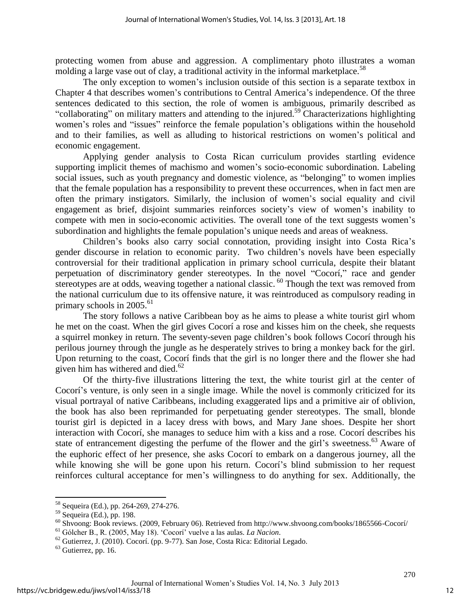protecting women from abuse and aggression. A complimentary photo illustrates a woman molding a large vase out of clay, a traditional activity in the informal marketplace.<sup>58</sup>

The only exception to women's inclusion outside of this section is a separate textbox in Chapter 4 that describes women's contributions to Central America's independence. Of the three sentences dedicated to this section, the role of women is ambiguous, primarily described as "collaborating" on military matters and attending to the injured.<sup>59</sup> Characterizations highlighting women's roles and "issues" reinforce the female population's obligations within the household and to their families, as well as alluding to historical restrictions on women's political and economic engagement.

Applying gender analysis to Costa Rican curriculum provides startling evidence supporting implicit themes of machismo and women's socio-economic subordination. Labeling social issues, such as youth pregnancy and domestic violence, as "belonging" to women implies that the female population has a responsibility to prevent these occurrences, when in fact men are often the primary instigators. Similarly, the inclusion of women's social equality and civil engagement as brief, disjoint summaries reinforces society's view of women's inability to compete with men in socio-economic activities. The overall tone of the text suggests women's subordination and highlights the female population's unique needs and areas of weakness.

Children's books also carry social connotation, providing insight into Costa Rica's gender discourse in relation to economic parity. Two children's novels have been especially controversial for their traditional application in primary school curricula, despite their blatant perpetuation of discriminatory gender stereotypes. In the novel "Cocorí," race and gender stereotypes are at odds, weaving together a national classic. <sup>60</sup> Though the text was removed from the national curriculum due to its offensive nature, it was reintroduced as compulsory reading in primary schools in  $2005.^{61}$ 

The story follows a native Caribbean boy as he aims to please a white tourist girl whom he met on the coast. When the girl gives Cocorí a rose and kisses him on the cheek, she requests a squirrel monkey in return. The seventy-seven page children's book follows Cocorí through his perilous journey through the jungle as he desperately strives to bring a monkey back for the girl. Upon returning to the coast, Cocorí finds that the girl is no longer there and the flower she had given him has withered and died. $62$ 

Of the thirty-five illustrations littering the text, the white tourist girl at the center of Cocorí's venture, is only seen in a single image. While the novel is commonly criticized for its visual portrayal of native Caribbeans, including exaggerated lips and a primitive air of oblivion, the book has also been reprimanded for perpetuating gender stereotypes. The small, blonde tourist girl is depicted in a lacey dress with bows, and Mary Jane shoes. Despite her short interaction with Cocorí, she manages to seduce him with a kiss and a rose. Cocorí describes his state of entrancement digesting the perfume of the flower and the girl's sweetness.<sup>63</sup> Aware of the euphoric effect of her presence, she asks Cocorí to embark on a dangerous journey, all the while knowing she will be gone upon his return. Cocori's blind submission to her request reinforces cultural acceptance for men's willingness to do anything for sex. Additionally, the

<sup>&</sup>lt;sup>58</sup> Sequeira (Ed.), pp. 264-269, 274-276.

<sup>59</sup> Sequeira (Ed.), pp. 198.

 $^{60}$  Shvoong: Book reviews. (2009, February 06). Retrieved from http://www.shvoong.com/books/1865566-Cocorí/

<sup>61</sup> Gólcher B., R. (2005, May 18). 'Cocorí' vuelve a las aulas. *La Nacion*.

 $62$  Gutierrez, J. (2010). Cocorí. (pp. 9-77). San Jose, Costa Rica: Editorial Legado.

 $63$  Gutierrez, pp. 16.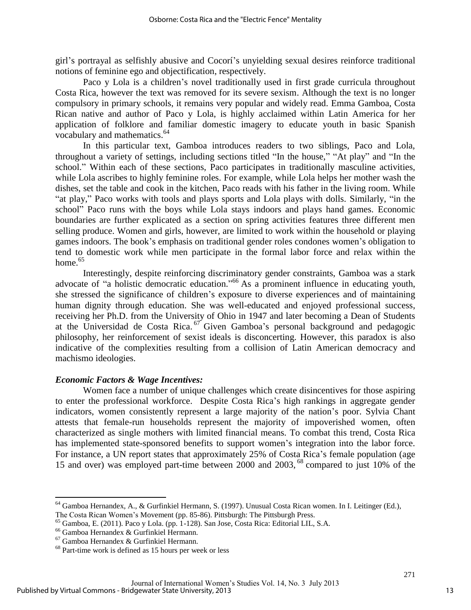girl's portrayal as selfishly abusive and Cocorí's unyielding sexual desires reinforce traditional notions of feminine ego and objectification, respectively.

Paco y Lola is a children's novel traditionally used in first grade curricula throughout Costa Rica, however the text was removed for its severe sexism. Although the text is no longer compulsory in primary schools, it remains very popular and widely read. Emma Gamboa, Costa Rican native and author of Paco y Lola, is highly acclaimed within Latin America for her application of folklore and familiar domestic imagery to educate youth in basic Spanish vocabulary and mathematics.<sup>64</sup>

In this particular text, Gamboa introduces readers to two siblings, Paco and Lola, throughout a variety of settings, including sections titled "In the house," "At play" and "In the school." Within each of these sections, Paco participates in traditionally masculine activities, while Lola ascribes to highly feminine roles. For example, while Lola helps her mother wash the dishes, set the table and cook in the kitchen, Paco reads with his father in the living room. While "at play," Paco works with tools and plays sports and Lola plays with dolls. Similarly, "in the school" Paco runs with the boys while Lola stays indoors and plays hand games. Economic boundaries are further explicated as a section on spring activities features three different men selling produce. Women and girls, however, are limited to work within the household or playing games indoors. The book's emphasis on traditional gender roles condones women's obligation to tend to domestic work while men participate in the formal labor force and relax within the home. $65$ 

Interestingly, despite reinforcing discriminatory gender constraints, Gamboa was a stark advocate of "a holistic democratic education." <sup>66</sup> As a prominent influence in educating youth, she stressed the significance of children's exposure to diverse experiences and of maintaining human dignity through education. She was well-educated and enjoyed professional success, receiving her Ph.D. from the University of Ohio in 1947 and later becoming a Dean of Students at the Universidad de Costa Rica. <sup>67</sup> Given Gamboa's personal background and pedagogic philosophy, her reinforcement of sexist ideals is disconcerting. However, this paradox is also indicative of the complexities resulting from a collision of Latin American democracy and machismo ideologies.

# *Economic Factors & Wage Incentives:*

Women face a number of unique challenges which create disincentives for those aspiring to enter the professional workforce. Despite Costa Rica's high rankings in aggregate gender indicators, women consistently represent a large majority of the nation's poor. Sylvia Chant attests that female-run households represent the majority of impoverished women, often characterized as single mothers with limited financial means. To combat this trend, Costa Rica has implemented state-sponsored benefits to support women's integration into the labor force. For instance, a UN report states that approximately 25% of Costa Rica's female population (age 15 and over) was employed part-time between 2000 and 2003, <sup>68</sup> compared to just 10% of the

<sup>64</sup> Gamboa Hernandex, A., & Gurfinkiel Hermann, S. (1997). Unusual Costa Rican women. In I. Leitinger (Ed.), The Costa Rican Women's Movement (pp. 85-86). Pittsburgh: The Pittsburgh Press.

<sup>65</sup> Gamboa, E. (2011). Paco y Lola. (pp. 1-128). San Jose, Costa Rica: Editorial LIL, S.A.

<sup>66</sup> Gamboa Hernandex & Gurfinkiel Hermann.

<sup>67</sup> Gamboa Hernandex & Gurfinkiel Hermann.

<sup>68</sup> Part-time work is defined as 15 hours per week or less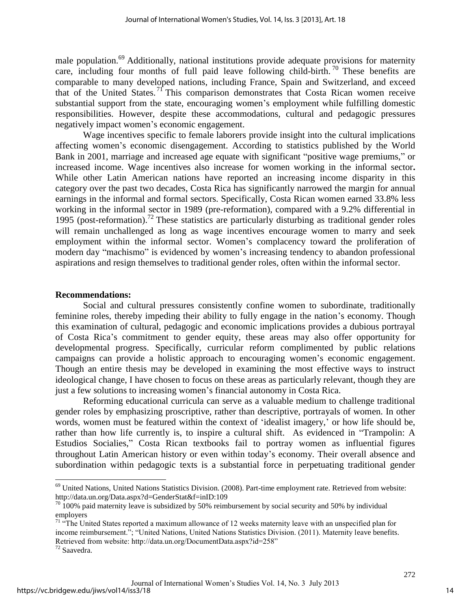male population.<sup>69</sup> Additionally, national institutions provide adequate provisions for maternity care, including four months of full paid leave following child-birth.  $\frac{70}{10}$  These benefits are comparable to many developed nations, including France, Spain and Switzerland, and exceed that of the United States. <sup>71</sup> This comparison demonstrates that Costa Rican women receive substantial support from the state, encouraging women's employment while fulfilling domestic responsibilities. However, despite these accommodations, cultural and pedagogic pressures negatively impact women's economic engagement.

Wage incentives specific to female laborers provide insight into the cultural implications affecting women's economic disengagement. According to statistics published by the World Bank in 2001, marriage and increased age equate with significant "positive wage premiums," or increased income. Wage incentives also increase for women working in the informal sector**.**  While other Latin American nations have reported an increasing income disparity in this category over the past two decades, Costa Rica has significantly narrowed the margin for annual earnings in the informal and formal sectors. Specifically, Costa Rican women earned 33.8% less working in the informal sector in 1989 (pre-reformation), compared with a 9.2% differential in 1995 (post-reformation).<sup>72</sup> These statistics are particularly disturbing as traditional gender roles will remain unchallenged as long as wage incentives encourage women to marry and seek employment within the informal sector. Women's complacency toward the proliferation of modern day "machismo" is evidenced by women's increasing tendency to abandon professional aspirations and resign themselves to traditional gender roles, often within the informal sector.

#### **Recommendations:**

Social and cultural pressures consistently confine women to subordinate, traditionally feminine roles, thereby impeding their ability to fully engage in the nation's economy. Though this examination of cultural, pedagogic and economic implications provides a dubious portrayal of Costa Rica's commitment to gender equity, these areas may also offer opportunity for developmental progress. Specifically, curricular reform complimented by public relations campaigns can provide a holistic approach to encouraging women's economic engagement. Though an entire thesis may be developed in examining the most effective ways to instruct ideological change, I have chosen to focus on these areas as particularly relevant, though they are just a few solutions to increasing women's financial autonomy in Costa Rica.

Reforming educational curricula can serve as a valuable medium to challenge traditional gender roles by emphasizing proscriptive, rather than descriptive, portrayals of women. In other words, women must be featured within the context of 'idealist imagery,' or how life should be, rather than how life currently is, to inspire a cultural shift. As evidenced in "Trampolin: A Estudios Socialies," Costa Rican textbooks fail to portray women as influential figures throughout Latin American history or even within today's economy. Their overall absence and subordination within pedagogic texts is a substantial force in perpetuating traditional gender

<sup>&</sup>lt;sup>69</sup> United Nations, United Nations Statistics Division. (2008). Part-time employment rate. Retrieved from website: http://data.un.org/Data.aspx?d=GenderStat&f=inID:109

 $70$  100% paid maternity leave is subsidized by 50% reimbursement by social security and 50% by individual employers

 $71$  "The United States reported a maximum allowance of 12 weeks maternity leave with an unspecified plan for income reimbursement."; "United Nations, United Nations Statistics Division. (2011). Maternity leave benefits. Retrieved from website: http://data.un.org/DocumentData.aspx?id=258"

 $72$  Saavedra.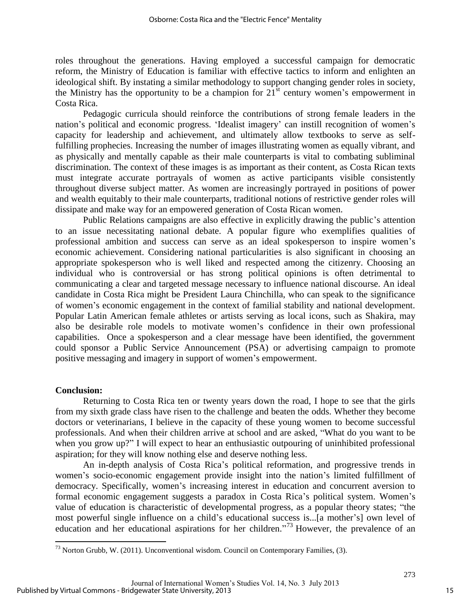roles throughout the generations. Having employed a successful campaign for democratic reform, the Ministry of Education is familiar with effective tactics to inform and enlighten an ideological shift. By instating a similar methodology to support changing gender roles in society, the Ministry has the opportunity to be a champion for  $21<sup>st</sup>$  century women's empowerment in Costa Rica.

Pedagogic curricula should reinforce the contributions of strong female leaders in the nation's political and economic progress. 'Idealist imagery' can instill recognition of women's capacity for leadership and achievement, and ultimately allow textbooks to serve as selffulfilling prophecies. Increasing the number of images illustrating women as equally vibrant, and as physically and mentally capable as their male counterparts is vital to combating subliminal discrimination. The context of these images is as important as their content, as Costa Rican texts must integrate accurate portrayals of women as active participants visible consistently throughout diverse subject matter. As women are increasingly portrayed in positions of power and wealth equitably to their male counterparts, traditional notions of restrictive gender roles will dissipate and make way for an empowered generation of Costa Rican women.

Public Relations campaigns are also effective in explicitly drawing the public's attention to an issue necessitating national debate. A popular figure who exemplifies qualities of professional ambition and success can serve as an ideal spokesperson to inspire women's economic achievement. Considering national particularities is also significant in choosing an appropriate spokesperson who is well liked and respected among the citizenry. Choosing an individual who is controversial or has strong political opinions is often detrimental to communicating a clear and targeted message necessary to influence national discourse. An ideal candidate in Costa Rica might be President Laura Chinchilla, who can speak to the significance of women's economic engagement in the context of familial stability and national development. Popular Latin American female athletes or artists serving as local icons, such as Shakira, may also be desirable role models to motivate women's confidence in their own professional capabilities. Once a spokesperson and a clear message have been identified, the government could sponsor a Public Service Announcement (PSA) or advertising campaign to promote positive messaging and imagery in support of women's empowerment.

#### **Conclusion:**

 $\overline{\phantom{a}}$ 

Returning to Costa Rica ten or twenty years down the road, I hope to see that the girls from my sixth grade class have risen to the challenge and beaten the odds. Whether they become doctors or veterinarians, I believe in the capacity of these young women to become successful professionals. And when their children arrive at school and are asked, "What do you want to be when you grow up?" I will expect to hear an enthusiastic outpouring of uninhibited professional aspiration; for they will know nothing else and deserve nothing less.

An in-depth analysis of Costa Rica's political reformation, and progressive trends in women's socio-economic engagement provide insight into the nation's limited fulfillment of democracy. Specifically, women's increasing interest in education and concurrent aversion to formal economic engagement suggests a paradox in Costa Rica's political system. Women's value of education is characteristic of developmental progress, as a popular theory states; "the most powerful single influence on a child's educational success is...[a mother's] own level of education and her educational aspirations for her children."<sup>73</sup> However, the prevalence of an

 $^{73}$  Norton Grubb, W. (2011). Unconventional wisdom. Council on Contemporary Families, (3).